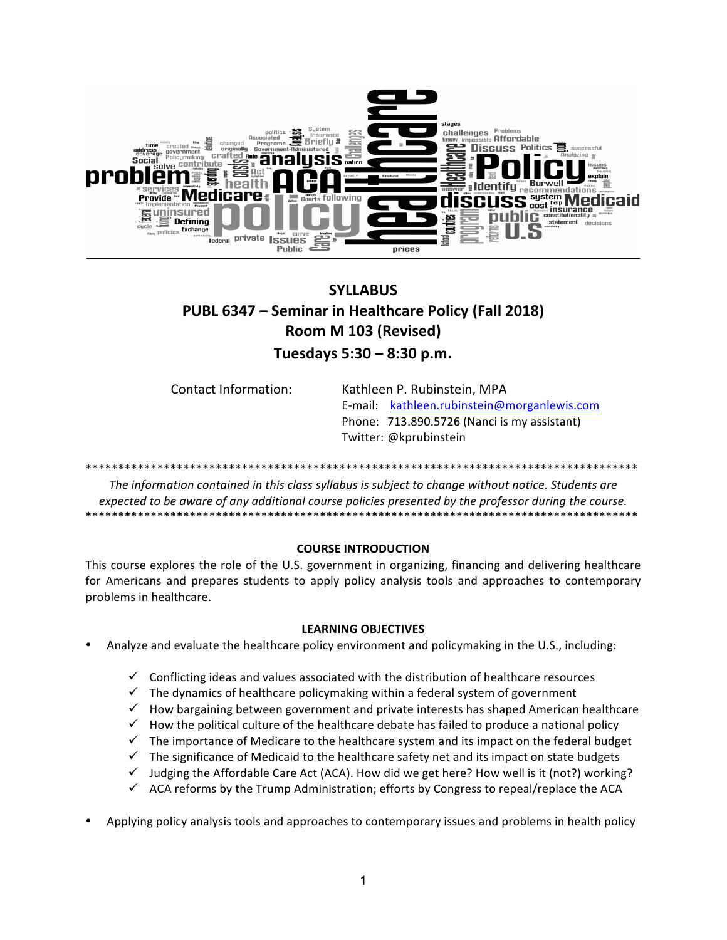

# **SYLLABUS PUBL 6347 - Seminar in Healthcare Policy (Fall 2018) Room M 103 (Revised) Tuesdays 5:30 – 8:30 p.m.**

| Contact Information: | Kathleen P. Rubinstein, MPA                 |
|----------------------|---------------------------------------------|
|                      | E-mail: kathleen.rubinstein@morganlewis.com |
|                      | Phone: 713.890.5726 (Nanci is my assistant) |
|                      | Twitter: @kprubinstein                      |

\*\*\*\*\*\*\*\*\*\*\*\*\*\*\*\*\*\*\*\*\*\*\*\*\*\*\*\*\*\*\*\*\*\*\*\*\*\*\*\*\*\*\*\*\*\*\*\*\*\*\*\*\*\*\*\*\*\*\*\*\*\*\*\*\*\*\*\*\*\*\*\*\*\*\*\*\*\*\*\*\*\*\*\*\*

The information contained in this class syllabus is subject to change without notice. Students are *expected to be aware of any additional course policies presented by the professor during the course.* \*\*\*\*\*\*\*\*\*\*\*\*\*\*\*\*\*\*\*\*\*\*\*\*\*\*\*\*\*\*\*\*\*\*\*\*\*\*\*\*\*\*\*\*\*\*\*\*\*\*\*\*\*\*\*\*\*\*\*\*\*\*\*\*\*\*\*\*\*\*\*\*\*\*\*\*\*\*\*\*\*\*\*\*\*

## **COURSE INTRODUCTION**

This course explores the role of the U.S. government in organizing, financing and delivering healthcare for Americans and prepares students to apply policy analysis tools and approaches to contemporary problems in healthcare.

## **LEARNING OBJECTIVES**

- Analyze and evaluate the healthcare policy environment and policymaking in the U.S., including:
	- $\checkmark$  Conflicting ideas and values associated with the distribution of healthcare resources
	- $\checkmark$  The dynamics of healthcare policymaking within a federal system of government
	- $\checkmark$  How bargaining between government and private interests has shaped American healthcare
	- $\checkmark$  How the political culture of the healthcare debate has failed to produce a national policy
	- $\checkmark$  The importance of Medicare to the healthcare system and its impact on the federal budget
	- $\checkmark$  The significance of Medicaid to the healthcare safety net and its impact on state budgets
	- $\checkmark$  Judging the Affordable Care Act (ACA). How did we get here? How well is it (not?) working?
	- $\checkmark$  ACA reforms by the Trump Administration; efforts by Congress to repeal/replace the ACA
- Applying policy analysis tools and approaches to contemporary issues and problems in health policy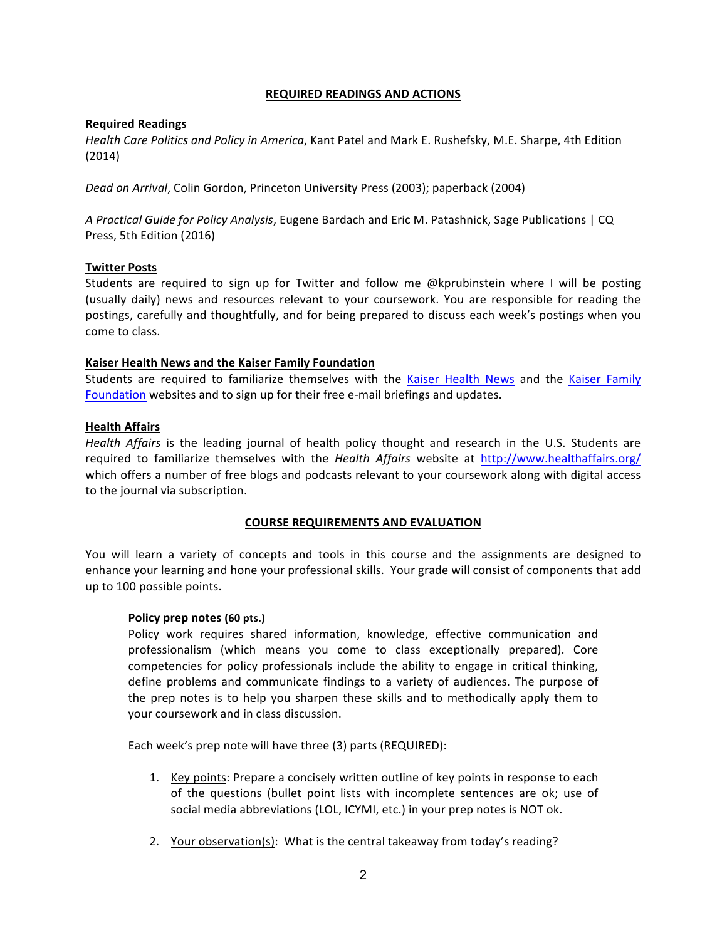## **REQUIRED READINGS AND ACTIONS**

## **Required Readings**

*Health Care Politics and Policy in America*, Kant Patel and Mark E. Rushefsky, M.E. Sharpe, 4th Edition (2014)

*Dead on Arrival*, Colin Gordon, Princeton University Press (2003); paperback (2004)

A Practical Guide for Policy Analysis, Eugene Bardach and Eric M. Patashnick, Sage Publications | CQ Press, 5th Edition (2016)

## **Twitter Posts**

Students are required to sign up for Twitter and follow me  $@$  kprubinstein where I will be posting (usually daily) news and resources relevant to your coursework. You are responsible for reading the postings, carefully and thoughtfully, and for being prepared to discuss each week's postings when you come to class.

## **Kaiser Health News and the Kaiser Family Foundation**

Students are required to familiarize themselves with the Kaiser Health News and the Kaiser Family [Foundation](https://www.kff.org/) websites and to sign up for their free e-mail briefings and updates.

## **Health Affairs**

*Health Affairs* is the leading journal of health policy thought and research in the U.S. Students are required to familiarize themselves with the *Health Affairs* website at <http://www.healthaffairs.org/> which offers a number of free blogs and podcasts relevant to your coursework along with digital access to the journal via subscription.

## **COURSE REQUIREMENTS AND EVALUATION**

You will learn a variety of concepts and tools in this course and the assignments are designed to enhance your learning and hone your professional skills. Your grade will consist of components that add up to 100 possible points.

## Policy prep notes (60 pts.)

Policy work requires shared information, knowledge, effective communication and professionalism (which means you come to class exceptionally prepared). Core competencies for policy professionals include the ability to engage in critical thinking, define problems and communicate findings to a variety of audiences. The purpose of the prep notes is to help you sharpen these skills and to methodically apply them to your coursework and in class discussion.

Each week's prep note will have three (3) parts (REQUIRED):

- 1. Key points: Prepare a concisely written outline of key points in response to each of the questions (bullet point lists with incomplete sentences are ok; use of social media abbreviations (LOL, ICYMI, etc.) in your prep notes is NOT ok.
- 2. Your observation(s): What is the central takeaway from today's reading?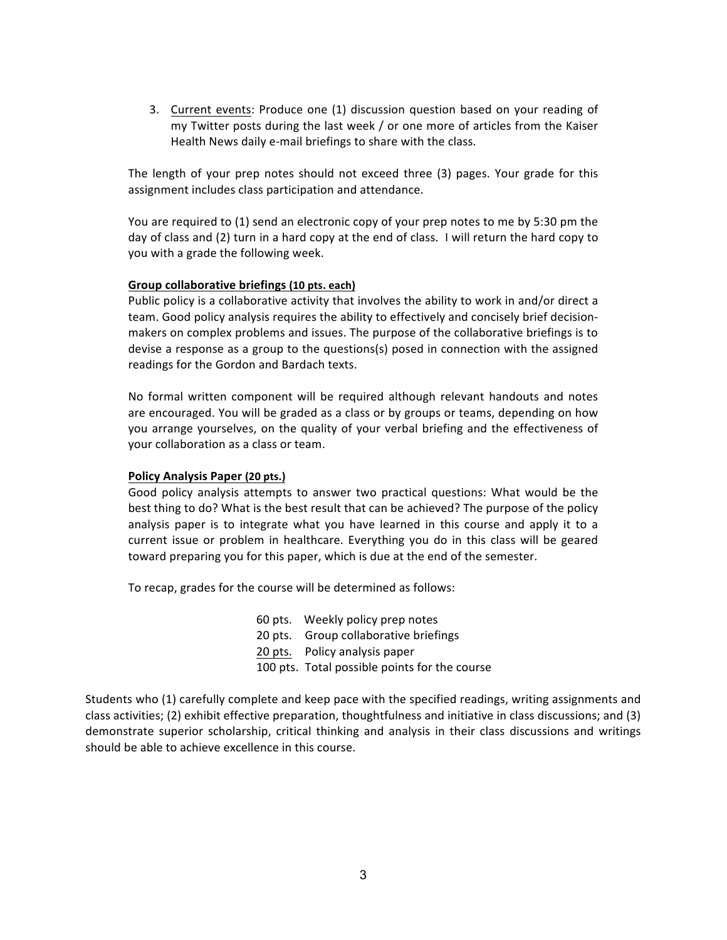3. Current events: Produce one (1) discussion question based on your reading of my Twitter posts during the last week  $/$  or one more of articles from the Kaiser Health News daily e-mail briefings to share with the class.

The length of your prep notes should not exceed three (3) pages. Your grade for this assignment includes class participation and attendance.

You are required to (1) send an electronic copy of your prep notes to me by 5:30 pm the day of class and (2) turn in a hard copy at the end of class. I will return the hard copy to you with a grade the following week.

## Group collaborative briefings (10 pts. each)

Public policy is a collaborative activity that involves the ability to work in and/or direct a team. Good policy analysis requires the ability to effectively and concisely brief decisionmakers on complex problems and issues. The purpose of the collaborative briefings is to devise a response as a group to the questions(s) posed in connection with the assigned readings for the Gordon and Bardach texts.

No formal written component will be required although relevant handouts and notes are encouraged. You will be graded as a class or by groups or teams, depending on how you arrange yourselves, on the quality of your verbal briefing and the effectiveness of your collaboration as a class or team.

## **Policy Analysis Paper (20 pts.)**

Good policy analysis attempts to answer two practical questions: What would be the best thing to do? What is the best result that can be achieved? The purpose of the policy analysis paper is to integrate what you have learned in this course and apply it to a current issue or problem in healthcare. Everything you do in this class will be geared toward preparing you for this paper, which is due at the end of the semester.

To recap, grades for the course will be determined as follows:

- 60 pts. Weekly policy prep notes 20 pts. Group collaborative briefings
- 20 pts. Policy analysis paper
- 100 pts. Total possible points for the course

Students who (1) carefully complete and keep pace with the specified readings, writing assignments and class activities; (2) exhibit effective preparation, thoughtfulness and initiative in class discussions; and (3) demonstrate superior scholarship, critical thinking and analysis in their class discussions and writings should be able to achieve excellence in this course.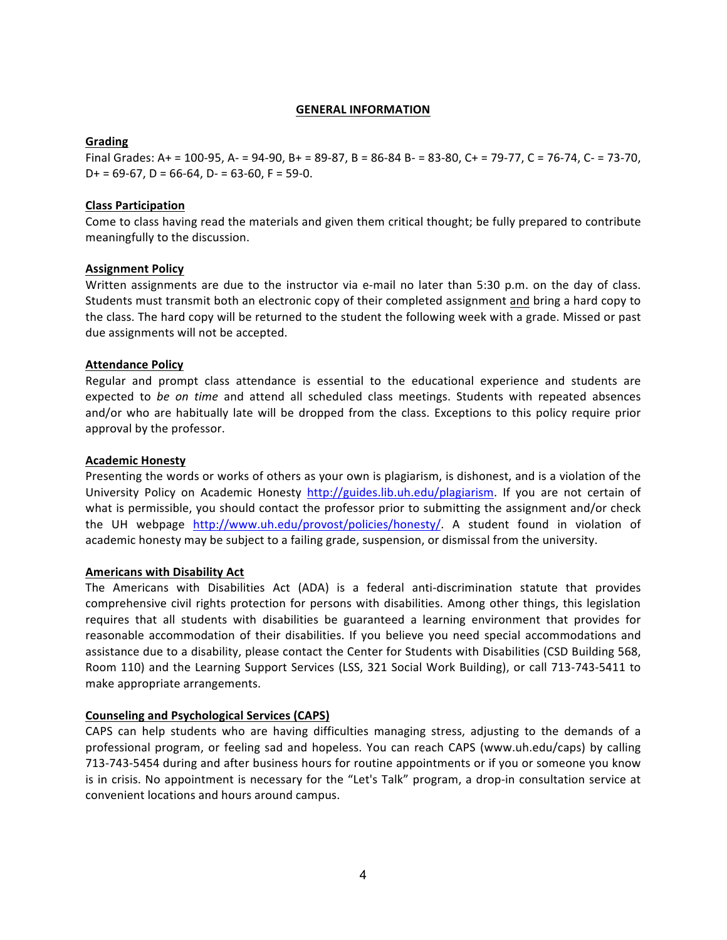#### **GENERAL INFORMATION**

## **Grading**

Final Grades: A+ = 100-95, A- = 94-90, B+ = 89-87, B = 86-84 B- = 83-80, C+ = 79-77, C = 76-74, C- = 73-70,  $D+ = 69-67$ ,  $D = 66-64$ ,  $D- = 63-60$ ,  $F = 59-0$ .

## **Class Participation**

Come to class having read the materials and given them critical thought; be fully prepared to contribute meaningfully to the discussion.

## **Assignment Policy**

Written assignments are due to the instructor via e-mail no later than 5:30 p.m. on the day of class. Students must transmit both an electronic copy of their completed assignment and bring a hard copy to the class. The hard copy will be returned to the student the following week with a grade. Missed or past due assignments will not be accepted.

## **Attendance Policy**

Regular and prompt class attendance is essential to the educational experience and students are expected to *be on time* and attend all scheduled class meetings. Students with repeated absences and/or who are habitually late will be dropped from the class. Exceptions to this policy require prior approval by the professor.

## **Academic Honesty**

Presenting the words or works of others as your own is plagiarism, is dishonest, and is a violation of the University Policy on Academic Honesty <http://guides.lib.uh.edu/plagiarism>. If you are not certain of what is permissible, you should contact the professor prior to submitting the assignment and/or check the UH webpage <http://www.uh.edu/provost/policies/honesty/>. A student found in violation of academic honesty may be subject to a failing grade, suspension, or dismissal from the university.

## **Americans with Disability Act**

The Americans with Disabilities Act (ADA) is a federal anti-discrimination statute that provides comprehensive civil rights protection for persons with disabilities. Among other things, this legislation requires that all students with disabilities be guaranteed a learning environment that provides for reasonable accommodation of their disabilities. If you believe you need special accommodations and assistance due to a disability, please contact the Center for Students with Disabilities (CSD Building 568, Room 110) and the Learning Support Services (LSS, 321 Social Work Building), or call 713-743-5411 to make appropriate arrangements.

## **Counseling and Psychological Services (CAPS)**

CAPS can help students who are having difficulties managing stress, adjusting to the demands of a professional program, or feeling sad and hopeless. You can reach CAPS (www.uh.edu/caps) by calling 713-743-5454 during and after business hours for routine appointments or if you or someone you know is in crisis. No appointment is necessary for the "Let's Talk" program, a drop-in consultation service at convenient locations and hours around campus.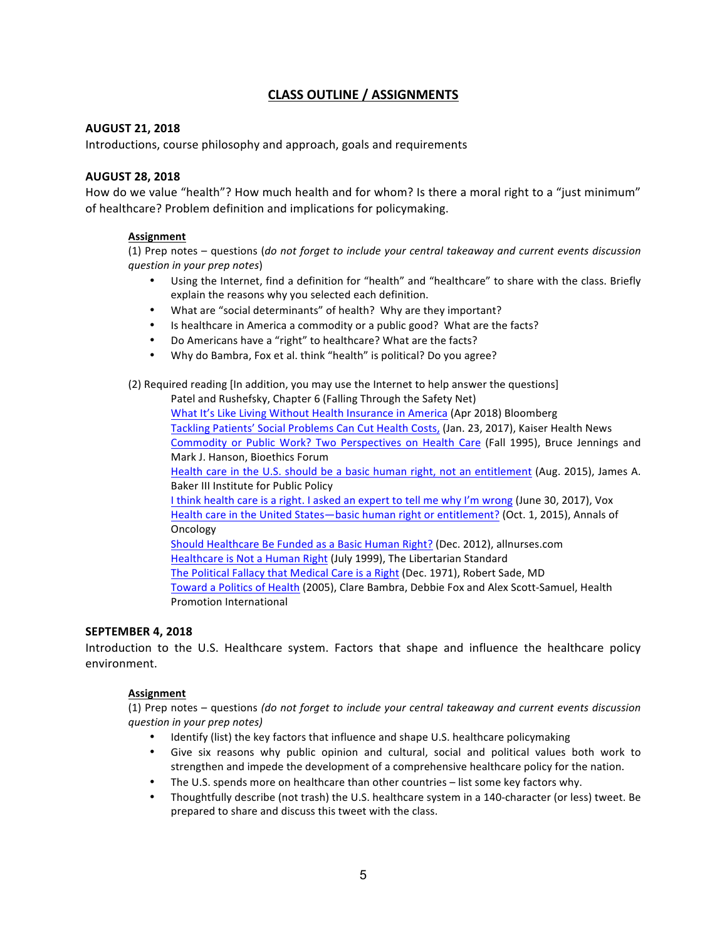# **CLASS OUTLINE / ASSIGNMENTS**

## **AUGUST 21, 2018**

Introductions, course philosophy and approach, goals and requirements

## **AUGUST 28, 2018**

How do we value "health"? How much health and for whom? Is there a moral right to a "just minimum" of healthcare? Problem definition and implications for policymaking.

## **Assignment**

(1) Prep notes – questions (*do not forget to include your central takeaway and current events discussion question in your prep notes*)

- Using the Internet, find a definition for "health" and "healthcare" to share with the class. Briefly explain the reasons why you selected each definition.
- What are "social determinants" of health? Why are they important?
- Is healthcare in America a commodity or a public good? What are the facts?
- Do Americans have a "right" to healthcare? What are the facts?
- Why do Bambra, Fox et al. think "health" is political? Do you agree?

(2) Required reading [In addition, you may use the Internet to help answer the questions]

Patel and Rushefsky, Chapter 6 (Falling Through the Safety Net) What It's Like Living Without Health Insurance in America (Apr 2018) Bloomberg Tackling Patients' Social Problems Can Cut Health Costs, (Jan. 23, 2017), Kaiser Health News Commodity or Public Work? Two Perspectives on Health Care (Fall 1995), Bruce Jennings and Mark J. Hanson, Bioethics Forum

Health care in the U.S. should be a basic human right, not an entitlement (Aug. 2015), James A. Baker III Institute for Public Policy

I think health care is a right. I asked an expert to tell me why I'm wrong (June 30, 2017), Vox Health care in the United States—basic human right or entitlement? (Oct. 1, 2015), Annals of Oncology

Should Healthcare Be Funded as a Basic Human Right? (Dec. 2012), allnurses.com Healthcare is Not a Human Right (July 1999), The Libertarian Standard The Political Fallacy that Medical Care is a Right (Dec. 1971), Robert Sade, MD Toward a Politics of Health (2005), Clare Bambra, Debbie Fox and Alex Scott-Samuel, Health Promotion International

## **SEPTEMBER 4, 2018**

Introduction to the U.S. Healthcare system. Factors that shape and influence the healthcare policy environment.

#### **Assignment**

(1) Prep notes – questions *(do not forget to include your central takeaway and current events discussion question in your prep notes)*

- Identify (list) the key factors that influence and shape U.S. healthcare policymaking
- Give six reasons why public opinion and cultural, social and political values both work to strengthen and impede the development of a comprehensive healthcare policy for the nation.
- The U.S. spends more on healthcare than other countries list some key factors why.
- Thoughtfully describe (not trash) the U.S. healthcare system in a 140-character (or less) tweet. Be prepared to share and discuss this tweet with the class.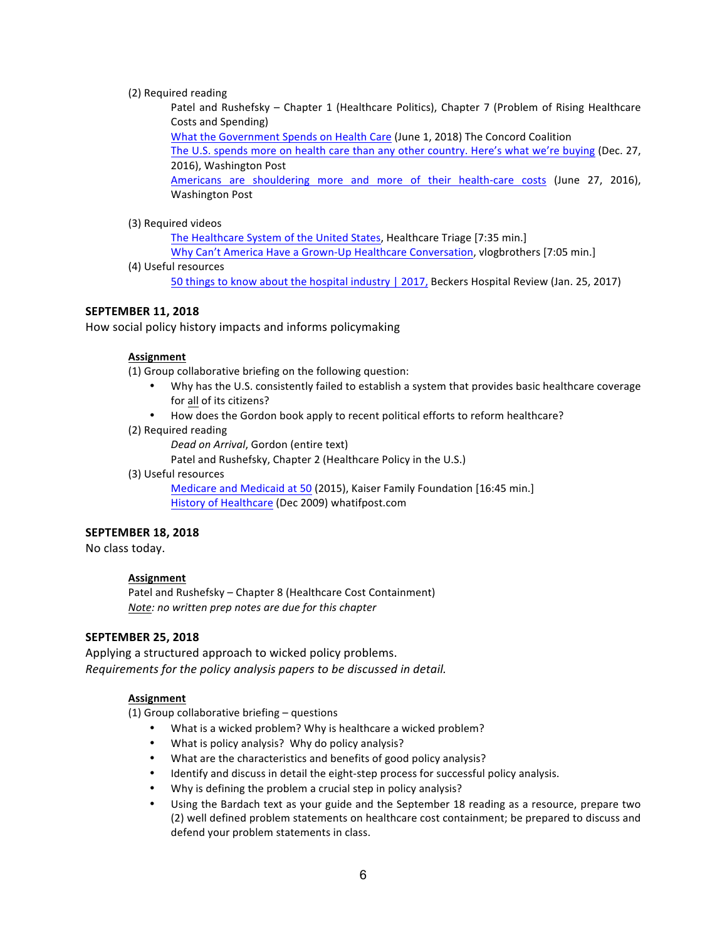#### (2) Required reading

Patel and Rushefsky – Chapter 1 (Healthcare Politics), Chapter 7 (Problem of Rising Healthcare Costs and Spending)

What the Government Spends on Health Care (June 1, 2018) The Concord Coalition

The U.S. spends more on health care than any other country. Here's what we're buying (Dec. 27, 2016), Washington Post

Americans are shouldering more and more of their health-care costs (June 27, 2016), Washington Post

#### (3) Required videos

The Healthcare System of the United States, Healthcare Triage [7:35 min.]

Why Can't America Have a Grown-Up Healthcare Conversation, vlogbrothers [7:05 min.] (4) Useful resources

50 things to know about the hospital industry | 2017, Beckers Hospital Review (Jan. 25, 2017)

## **SEPTEMBER 11, 2018**

How social policy history impacts and informs policymaking

#### **Assignment**

(1) Group collaborative briefing on the following question:

- Why has the U.S. consistently failed to establish a system that provides basic healthcare coverage for all of its citizens?
- How does the Gordon book apply to recent political efforts to reform healthcare?
- (2) Required reading

Dead on Arrival, Gordon (entire text)

Patel and Rushefsky, Chapter 2 (Healthcare Policy in the U.S.)

(3) Useful resources

Medicare and Medicaid at 50 (2015), Kaiser Family Foundation [16:45 min.] History of Healthcare (Dec 2009) whatifpost.com

## **SEPTEMBER 18, 2018**

No class today.

#### **Assignment**

Patel and Rushefsky – Chapter 8 (Healthcare Cost Containment) *Note: no written prep notes are due for this chapter*

## **SEPTEMBER 25, 2018**

Applying a structured approach to wicked policy problems. *Requirements for the policy analysis papers to be discussed in detail.* 

#### **Assignment**

(1) Group collaborative briefing  $-$  questions

- What is a wicked problem? Why is healthcare a wicked problem?
- What is policy analysis? Why do policy analysis?
- What are the characteristics and benefits of good policy analysis?
- Identify and discuss in detail the eight-step process for successful policy analysis.
- Why is defining the problem a crucial step in policy analysis?
- Using the Bardach text as your guide and the September 18 reading as a resource, prepare two (2) well defined problem statements on healthcare cost containment; be prepared to discuss and defend your problem statements in class.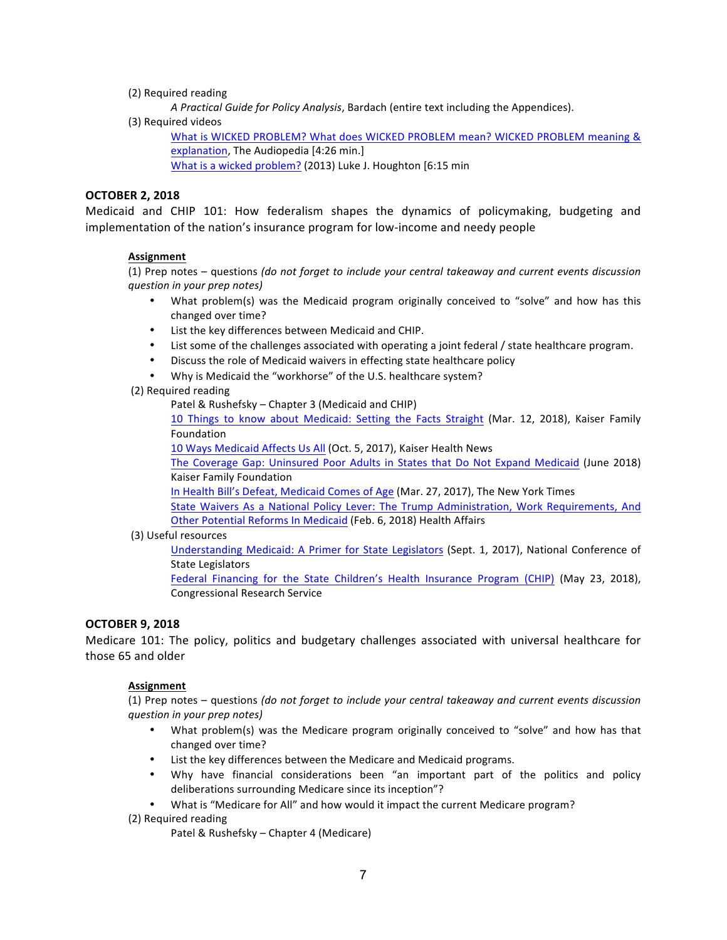(2) Required reading

*A* Practical Guide for Policy Analysis, Bardach (entire text including the Appendices).

(3) Required videos

What is WICKED PROBLEM? What does WICKED PROBLEM mean? WICKED PROBLEM meaning & [explanation](https://www.youtube.com/watch?v=OcMXY17BC9U), The Audiopedia [4:26 min.] What is a wicked problem? (2013) Luke J. Houghton [6:15 min

## **OCTOBER 2, 2018**

Medicaid and CHIP 101: How federalism shapes the dynamics of policymaking, budgeting and implementation of the nation's insurance program for low-income and needy people

## **Assignment**

(1) Prep notes – questions *(do not forget to include your central takeaway and current events discussion question in your prep notes)*

- What problem(s) was the Medicaid program originally conceived to "solve" and how has this changed over time?
- List the key differences between Medicaid and CHIP.
- List some of the challenges associated with operating a joint federal / state healthcare program.
- Discuss the role of Medicaid waivers in effecting state healthcare policy
- Why is Medicaid the "workhorse" of the U.S. healthcare system?
- (2) Required reading

Patel & Rushefsky – Chapter 3 (Medicaid and CHIP)

10 Things to know about Medicaid: Setting the Facts Straight (Mar. 12, 2018), Kaiser Family Foundation 

10 Ways Medicaid Affects Us All (Oct. 5, 2017), Kaiser Health News

The Coverage Gap: Uninsured Poor Adults in States that Do Not Expand Medicaid (June 2018) Kaiser Family Foundation 

In Health Bill's Defeat, Medicaid Comes of Age (Mar. 27, 2017), The New York Times

State Waivers As a National Policy Lever: The Trump Administration, Work Requirements, [And](https://www.healthaffairs.org/do/10.1377/hblog20180202.543483/full/) Other Potential Reforms In Medicaid (Feb. 6, 2018) Health Affairs

#### (3) Useful resources

Understanding Medicaid: A Primer for State Legislators (Sept. 1, 2017), National Conference of State Legislators

Federal Financing for the State Children's Health Insurance Program (CHIP) (May 23, 2018), Congressional Research Service

## **OCTOBER 9, 2018**

Medicare 101: The policy, politics and budgetary challenges associated with universal healthcare for those 65 and older

#### **Assignment**

(1) Prep notes – questions *(do not forget to include your central takeaway and current events discussion question in your prep notes)*

- What problem(s) was the Medicare program originally conceived to "solve" and how has that changed over time?
- List the key differences between the Medicare and Medicaid programs.
- Why have financial considerations been "an important part of the politics and policy deliberations surrounding Medicare since its inception"?
- What is "Medicare for All" and how would it impact the current Medicare program?

(2) Required reading

Patel & Rushefsky – Chapter 4 (Medicare)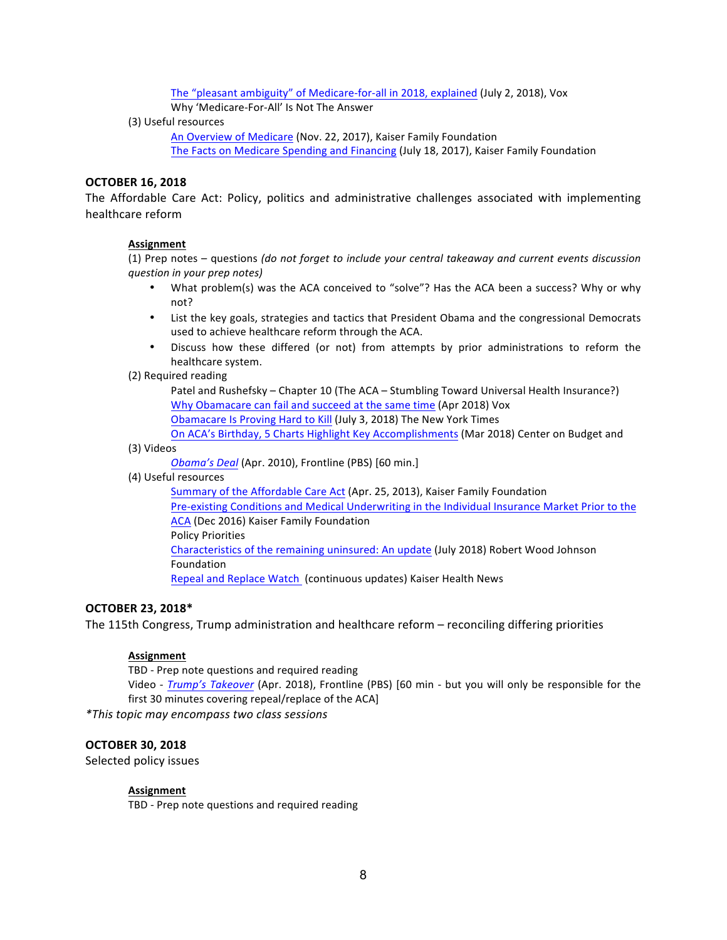The "pleasant ambiguity" of Medicare-for-all in 2018, explained (July 2, 2018), Vox

Why 'Medicare-For-All' Is Not The Answer

(3) Useful resources

An Overview of Medicare (Nov. 22, 2017), Kaiser Family Foundation The Facts on Medicare Spending and Financing (July 18, 2017), Kaiser Family Foundation

## **OCTOBER 16, 2018**

The Affordable Care Act: Policy, politics and administrative challenges associated with implementing healthcare reform

## **Assignment**

(1) Prep notes – questions *(do not forget to include your central takeaway and current events discussion question in your prep notes)*

- What problem(s) was the ACA conceived to "solve"? Has the ACA been a success? Why or why not?
- List the key goals, strategies and tactics that President Obama and the congressional Democrats used to achieve healthcare reform through the ACA.
- Discuss how these differed (or not) from attempts by prior administrations to reform the healthcare system.
- (2) Required reading

Patel and Rushefsky – Chapter 10 (The ACA – Stumbling Toward Universal Health Insurance?) Why Obamacare can fail and succeed at the same time (Apr 2018) Vox Obamacare Is Proving Hard to Kill (July 3, 2018) The New York Times

On ACA's Birthday, 5 Charts Highlight Key Accomplishments (Mar 2018) Center on Budget and

#### (3) Videos

*Obama's Deal* (Apr. 2010), Frontline (PBS) [60 min.]

(4) Useful resources

Summary of the Affordable Care Act (Apr. 25, 2013), Kaiser Family Foundation Pre-existing Conditions and Medical Underwriting in the Individual Insurance Market Prior to the [ACA](https://www.kff.org/health-reform/issue-brief/pre-existing-conditions-and-medical-underwriting-in-the-individual-insurance-market-prior-to-the-aca/) (Dec 2016) Kaiser Family Foundation Policy Priorities Characteristics of the remaining uninsured: An update (July 2018) Robert Wood Johnson Foundation Repeal and Replace Watch (continuous updates) Kaiser Health News

## **OCTOBER 23, 2018\***

The 115th Congress, Trump administration and healthcare reform - reconciling differing priorities

## **Assignment**

TBD - Prep note questions and required reading

Video - *Trump's Takeover* (Apr. 2018), Frontline (PBS) [60 min - but you will only be responsible for the first 30 minutes covering repeal/replace of the ACA]

*\*This topic may encompass two class sessions*

## **OCTOBER 30, 2018**

Selected policy issues

## **Assignment**

TBD - Prep note questions and required reading